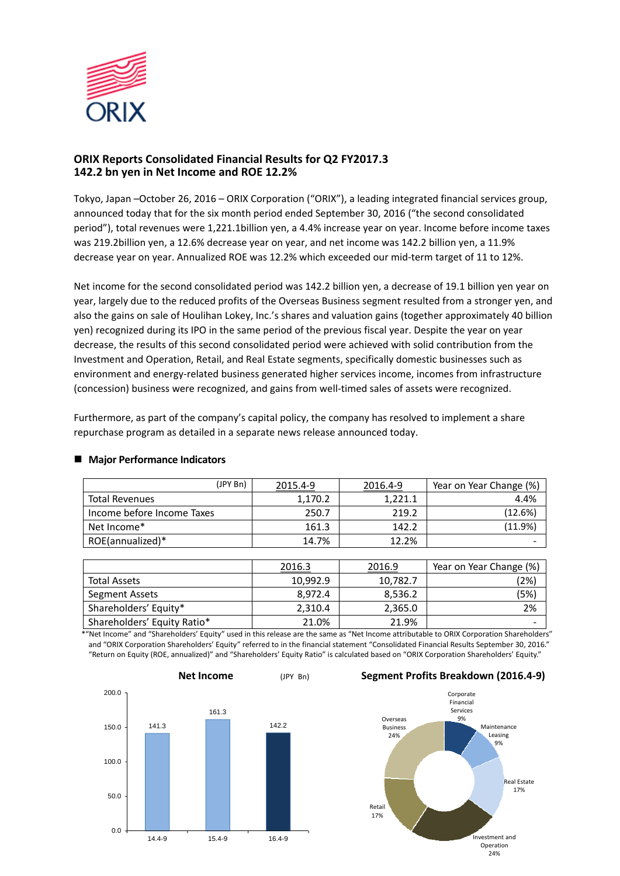

# **ORIX Reports Consolidated Financial Results for Q2 FY2017.3 142.2 bn yen in Net Income and ROE 12.2%**

Tokyo, Japan –October 26, 2016 – ORIX Corporation ("ORIX"), a leading integrated financial services group, announced today that for the six month period ended September 30, 2016 ("the second consolidated period"), total revenues were 1,221.1billion yen, a 4.4% increase year on year. Income before income taxes was 219.2billion yen, a 12.6% decrease year on year, and net income was 142.2 billion yen, a 11.9% decrease year on year. Annualized ROE was 12.2% which exceeded our mid-term target of 11 to 12%.

Net income for the second consolidated period was 142.2 billion yen, a decrease of 19.1 billion yen year on year, largely due to the reduced profits of the Overseas Business segment resulted from a stronger yen, and also the gains on sale of Houlihan Lokey, Inc.'s shares and valuation gains (together approximately 40 billion yen) recognized during its IPO in the same period of the previous fiscal year. Despite the year on year decrease, the results of this second consolidated period were achieved with solid contribution from the Investment and Operation, Retail, and Real Estate segments, specifically domestic businesses such as environment and energy-related business generated higher services income, incomes from infrastructure (concession) business were recognized, and gains from well-timed sales of assets were recognized.

Furthermore, as part of the company's capital policy, the company has resolved to implement a share repurchase program as detailed in a separate news release announced today.

| (JPY Bn)                   | 2015.4-9 | 2016.4-9 | Year on Year Change (%) |
|----------------------------|----------|----------|-------------------------|
| <b>Total Revenues</b>      | 1,170.2  | 1.221.1  | 4.4%                    |
| Income before Income Taxes | 250.7    | 219.2    | (12.6%)                 |
| Net Income*                | 161.3    | 142.2    | (11.9%)                 |
| ROE(annualized)*           | 14.7%    | 12.2%    | -                       |

# **Major Performance Indicators**

|                             | 2016.3   | 2016.9   | Year on Year Change (%) |
|-----------------------------|----------|----------|-------------------------|
| <b>Total Assets</b>         | 10,992.9 | 10,782.7 | (2%)                    |
| Segment Assets              | 8.972.4  | 8,536.2  | (5%)                    |
| Shareholders' Equity*       | 2,310.4  | 2,365.0  | 2%                      |
| Shareholders' Equity Ratio* | 21.0%    | 21.9%    | -                       |

\*"Net Income" and "Shareholders' Equity" used in this release are the same as "Net Income attributable to ORIX Corporation Shareholders" and "ORIX Corporation Shareholders' Equity" referred to in the financial statement "Consolidated Financial Results September 30, 2016." "Return on Equity (ROE, annualized)" and "Shareholders' Equity Ratio" is calculated based on "ORIX Corporation Shareholders' Equity."



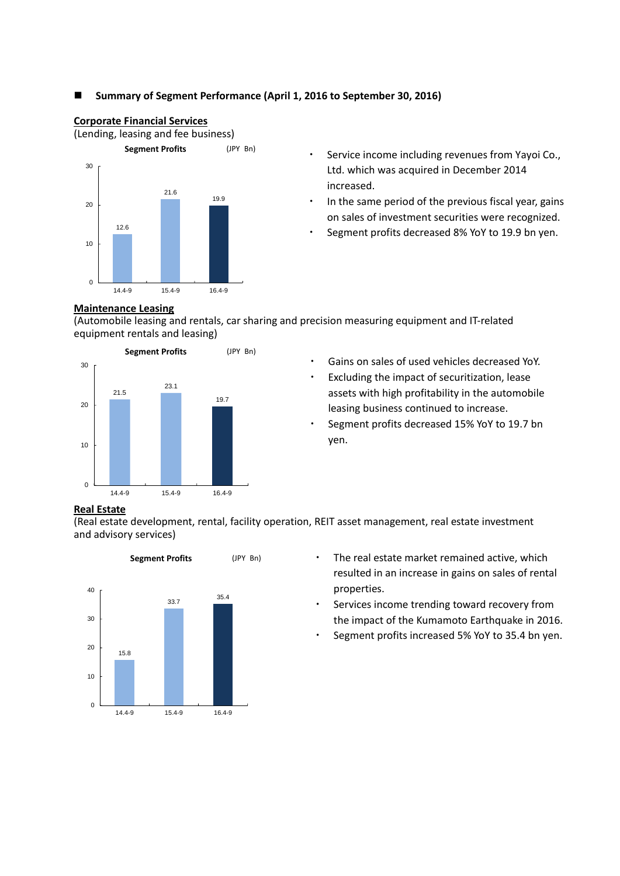# **Summary of Segment Performance (April 1, 2016 to September 30, 2016)**



**Corporate Financial Services** 

- ・ Service income including revenues from Yayoi Co., Ltd. which was acquired in December 2014 increased.
- In the same period of the previous fiscal year, gains on sales of investment securities were recognized.
- Segment profits decreased 8% YoY to 19.9 bn yen.

## **Maintenance Leasing**

(Automobile leasing and rentals, car sharing and precision measuring equipment and IT-related equipment rentals and leasing)



- Gains on sales of used vehicles decreased YoY.
- ・ Excluding the impact of securitization, lease assets with high profitability in the automobile leasing business continued to increase.
- Segment profits decreased 15% YoY to 19.7 bn yen.

# **Real Estate**

(Real estate development, rental, facility operation, REIT asset management, real estate investment and advisory services)



- ・ The real estate market remained active, which resulted in an increase in gains on sales of rental properties.
- Services income trending toward recovery from the impact of the Kumamoto Earthquake in 2016.
- Segment profits increased 5% YoY to 35.4 bn yen.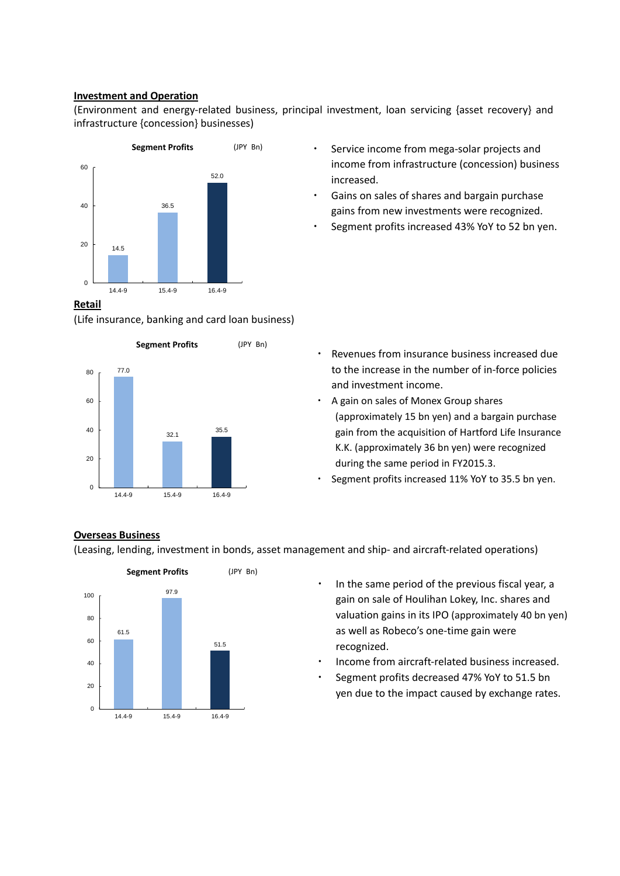# **Investment and Operation**

(Environment and energy-related business, principal investment, loan servicing {asset recovery} and infrastructure {concession} businesses)



## **Retail**

(Life insurance, banking and card loan business)



- ・ Service income from mega-solar projects and income from infrastructure (concession) business increased.
- ・ Gains on sales of shares and bargain purchase gains from new investments were recognized.
- Segment profits increased 43% YoY to 52 bn yen.

- Revenues from insurance business increased due to the increase in the number of in-force policies and investment income.
- ・ A gain on sales of Monex Group shares (approximately 15 bn yen) and a bargain purchase gain from the acquisition of Hartford Life Insurance K.K. (approximately 36 bn yen) were recognized during the same period in FY2015.3.
- Segment profits increased 11% YoY to 35.5 bn yen.

## **Overseas Business**

(Leasing, lending, investment in bonds, asset management and ship- and aircraft-related operations)



- In the same period of the previous fiscal year, a gain on sale of Houlihan Lokey, Inc. shares and valuation gains in its IPO (approximately 40 bn yen) as well as Robeco's one-time gain were recognized.
- Income from aircraft-related business increased.
- Segment profits decreased 47% YoY to 51.5 bn yen due to the impact caused by exchange rates.